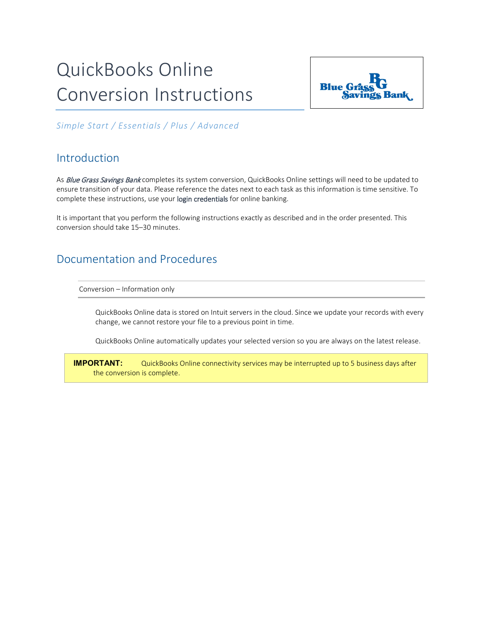# QuickBooks Online Conversion Instructions



*Simple Start / Essentials / Plus / Advanced*

# Introduction

As Blue Grass Savings Bank completes its system conversion, QuickBooks Online settings will need to be updated to ensure transition of your data. Please reference the dates next to each task as this information is time sensitive. To complete these instructions, use your login credentials for online banking.

It is important that you perform the following instructions exactly as described and in the order presented. This conversion should take 15–30 minutes.

# Documentation and Procedures

Conversion – Information only

QuickBooks Online data is stored on Intuit servers in the cloud. Since we update your records with every change, we cannot restore your file to a previous point in time.

QuickBooks Online automatically updates your selected version so you are always on the latest release.

**IMPORTANT:** QuickBooks Online connectivity services may be interrupted up to 5 business days after the conversion is complete.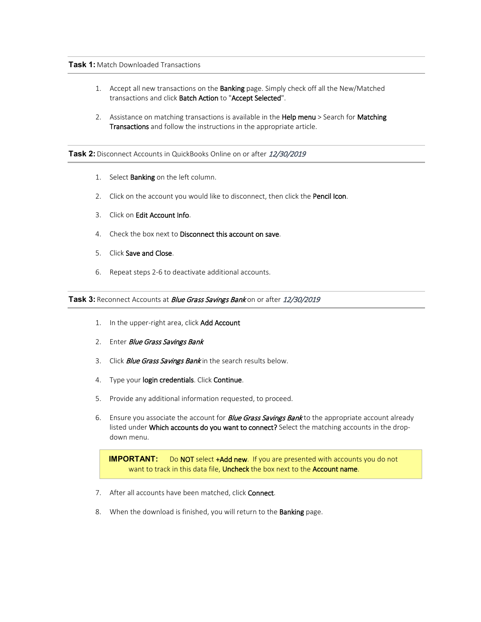## **Task 1:** Match Downloaded Transactions

- 1. Accept all new transactions on the Banking page. Simply check off all the New/Matched transactions and click Batch Action to "Accept Selected".
- 2. Assistance on matching transactions is available in the Help menu > Search for Matching Transactions and follow the instructions in the appropriate article.

## Task 2: Disconnect Accounts in QuickBooks Online on or after 12/30/2019

- 1. Select **Banking** on the left column.
- 2. Click on the account you would like to disconnect, then click the Pencil Icon.
- 3. Click on Edit Account Info.
- 4. Check the box next to Disconnect this account on save.
- 5. Click Save and Close.
- 6. Repeat steps 2-6 to deactivate additional accounts.

#### Task 3: Reconnect Accounts at *Blue Grass Savings Bank* on or after 12/30/2019

- 1. In the upper-right area, click Add Account
- 2. Enter *Blue Grass Savings Bank*
- 3. Click *Blue Grass Savings Bank* in the search results below.
- 4. Type your login credentials. Click Continue.
- 5. Provide any additional information requested, to proceed.
- 6. Ensure you associate the account for *Blue Grass Savings Bank* to the appropriate account already listed under Which accounts do you want to connect? Select the matching accounts in the dropdown menu.

**IMPORTANT:** Do NOT select +Add new. If you are presented with accounts you do not want to track in this data file, Uncheck the box next to the Account name.

- 7. After all accounts have been matched, click Connect.
- 8. When the download is finished, you will return to the **Banking** page.